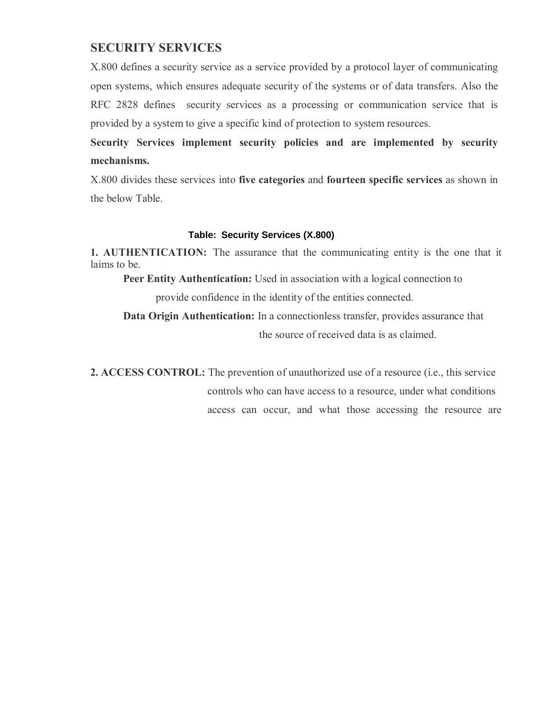# **SECURITY SERVICES**

X.800 defines a security service as a service provided by a protocol layer of communicating open systems, which ensures adequate security of the systems or of data transfers. Also the RFC 2828 defines security services as a processing or communication service that is provided by a system to give a specific kind of protection to system resources.

**Security Services implement security policies and are implemented by security mechanisms.** 

X.800 divides these services into **five categories** and **fourteen specific services** as shown in the below Table.

## **Table: Security Services (X.800)**

**1. AUTHENTICATION:** The assurance that the communicating entity is the one that it laims to be.

Peer Entity Authentication: Used in association with a logical connection to provide confidence in the identity of the entities connected.

**Data Origin Authentication:** In a connectionless transfer, provides assurance that the source of received data is as claimed.

**2. ACCESS CONTROL:** The prevention of unauthorized use of a resource (i.e., this service controls who can have access to a resource, under what conditions access can occur, and what those accessing the resource are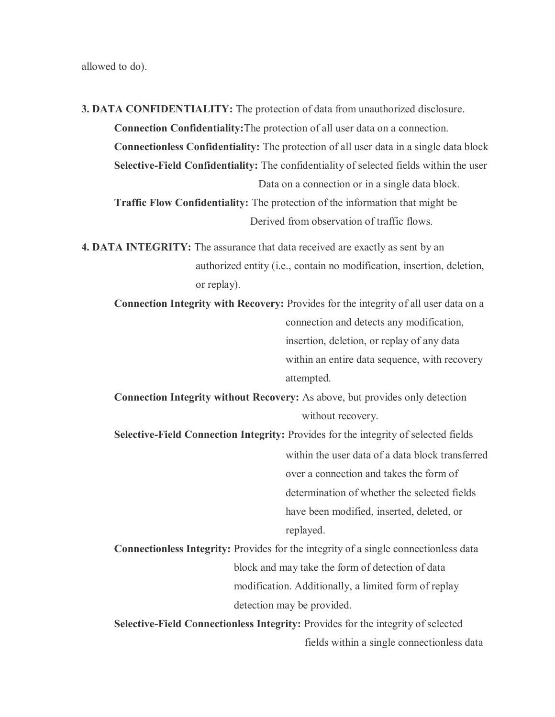allowed to do).

**3. DATA CONFIDENTIALITY:** The protection of data from unauthorized disclosure. **Connection Confidentiality:**The protection of all user data on a connection. **Connectionless Confidentiality:** The protection of all user data in a single data block **Selective-Field Confidentiality:** The confidentiality of selected fields within the user Data on a connection or in a single data block.

**Traffic Flow Confidentiality:** The protection of the information that might be Derived from observation of traffic flows.

**4. DATA INTEGRITY:** The assurance that data received are exactly as sent by an authorized entity (i.e., contain no modification, insertion, deletion, or replay).

**Connection Integrity with Recovery:** Provides for the integrity of all user data on a connection and detects any modification, insertion, deletion, or replay of any data within an entire data sequence, with recovery attempted.

**Connection Integrity without Recovery:** As above, but provides only detection without recovery.

**Selective-Field Connection Integrity:** Provides for the integrity of selected fields within the user data of a data block transferred over a connection and takes the form of determination of whether the selected fields have been modified, inserted, deleted, or replayed.

**Connectionless Integrity:** Provides for the integrity of a single connectionless data block and may take the form of detection of data modification. Additionally, a limited form of replay detection may be provided.

**Selective-Field Connectionless Integrity:** Provides for the integrity of selected fields within a single connectionless data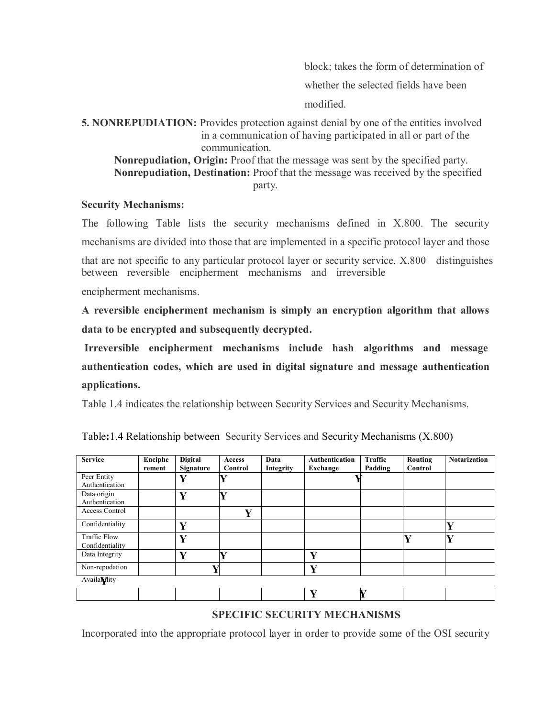block; takes the form of determination of whether the selected fields have been modified.

**5. NONREPUDIATION:** Provides protection against denial by one of the entities involved in a communication of having participated in all or part of the communication.

**Nonrepudiation, Origin:** Proof that the message was sent by the specified party. **Nonrepudiation, Destination:** Proof that the message was received by the specified party.

## **Security Mechanisms:**

The following Table lists the security mechanisms defined in X.800. The security mechanisms are divided into those that are implemented in a specific protocol layer and those that are not specific to any particular protocol layer or security service. X.800 distinguishes between reversible encipherment mechanisms and irreversible

encipherment mechanisms.

**A reversible encipherment mechanism is simply an encryption algorithm that allows data to be encrypted and subsequently decrypted.** 

**Irreversible encipherment mechanisms include hash algorithms and message authentication codes, which are used in digital signature and message authentication applications.** 

Table 1.4 indicates the relationship between Security Services and Security Mechanisms.

| <b>Service</b>                  | Enciphe<br>rement | <b>Digital</b><br>Signature | Access<br>Control | Data<br>Integrity | <b>Authentication</b><br>Exchange | <b>Traffic</b><br>Padding | Routing<br>Control | <b>Notarization</b> |
|---------------------------------|-------------------|-----------------------------|-------------------|-------------------|-----------------------------------|---------------------------|--------------------|---------------------|
| Peer Entity<br>Authentication   |                   | Y                           | Y                 |                   |                                   |                           |                    |                     |
| Data origin<br>Authentication   |                   | Y                           | Y                 |                   |                                   |                           |                    |                     |
| Access Control                  |                   |                             | Y                 |                   |                                   |                           |                    |                     |
| Confidentiality                 |                   | Y                           |                   |                   |                                   |                           |                    |                     |
| Traffic Flow<br>Confidentiality |                   | Y                           |                   |                   |                                   |                           | $\mathbf v$        |                     |
| Data Integrity                  |                   | Y                           | Y                 |                   | Y                                 |                           |                    |                     |
| Non-repudation                  |                   |                             |                   |                   | Y                                 |                           |                    |                     |
| <b>AvailaWhity</b>              |                   |                             |                   |                   |                                   |                           |                    |                     |
|                                 |                   |                             |                   |                   | Y                                 |                           |                    |                     |

Table**:**1.4 Relationship between Security Services and Security Mechanisms (X.800)

# **SPECIFIC SECURITY MECHANISMS**

Incorporated into the appropriate protocol layer in order to provide some of the OSI security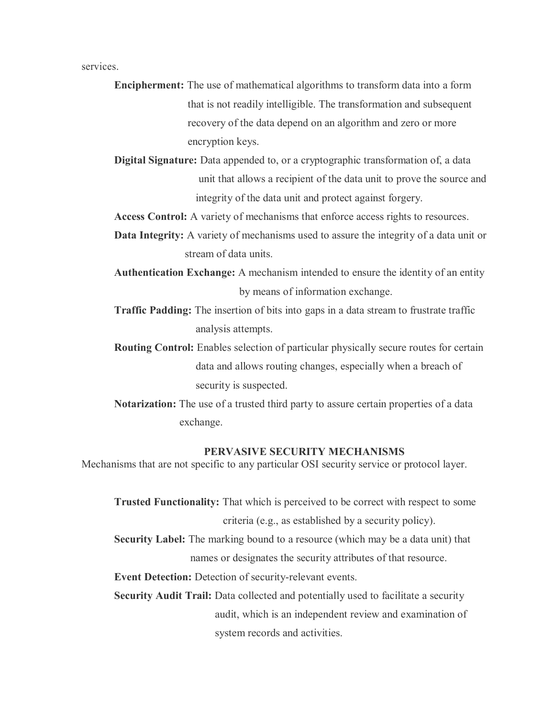services.

- **Encipherment:** The use of mathematical algorithms to transform data into a form that is not readily intelligible. The transformation and subsequent recovery of the data depend on an algorithm and zero or more encryption keys.
- **Digital Signature:** Data appended to, or a cryptographic transformation of, a data unit that allows a recipient of the data unit to prove the source and integrity of the data unit and protect against forgery.
- **Access Control:** A variety of mechanisms that enforce access rights to resources.
- **Data Integrity:** A variety of mechanisms used to assure the integrity of a data unit or stream of data units.
- **Authentication Exchange:** A mechanism intended to ensure the identity of an entity by means of information exchange.
- **Traffic Padding:** The insertion of bits into gaps in a data stream to frustrate traffic analysis attempts.
- **Routing Control:** Enables selection of particular physically secure routes for certain data and allows routing changes, especially when a breach of security is suspected.
- **Notarization:** The use of a trusted third party to assure certain properties of a data exchange.

### **PERVASIVE SECURITY MECHANISMS**

Mechanisms that are not specific to any particular OSI security service or protocol layer.

- **Trusted Functionality:** That which is perceived to be correct with respect to some criteria (e.g., as established by a security policy).
- **Security Label:** The marking bound to a resource (which may be a data unit) that names or designates the security attributes of that resource.

**Event Detection:** Detection of security-relevant events.

**Security Audit Trail:** Data collected and potentially used to facilitate a security audit, which is an independent review and examination of system records and activities.